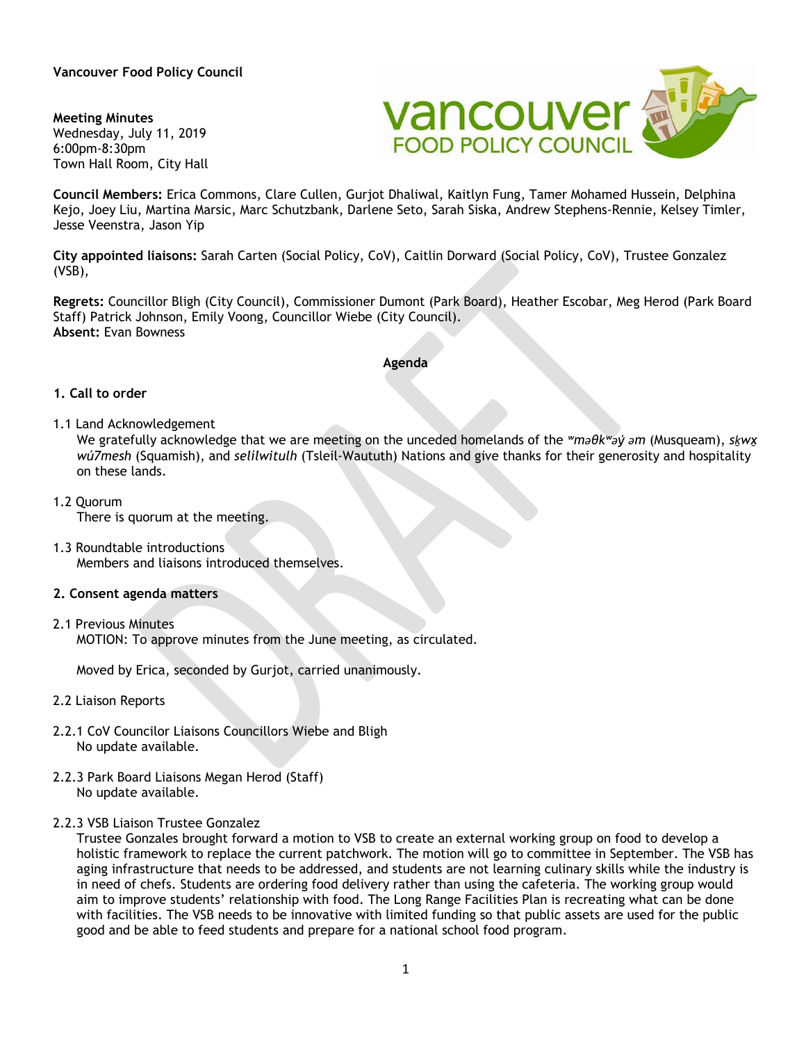**Vancouver Food Policy Council** 

**Meeting Minutes** Wednesday, July 11, 2019 6:00pm-8:30pm Town Hall Room, City Hall



**Council Members:** Erica Commons, Clare Cullen, Gurjot Dhaliwal, Kaitlyn Fung, Tamer Mohamed Hussein, Delphina Kejo, Joey Liu, Martina Marsic, Marc Schutzbank, Darlene Seto, Sarah Siska, Andrew Stephens-Rennie, Kelsey Timler, Jesse Veenstra, Jason Yip

**City appointed liaisons:** Sarah Carten (Social Policy, CoV), Caitlin Dorward (Social Policy, CoV), Trustee Gonzalez (VSB),

**Regrets:** Councillor Bligh (City Council), Commissioner Dumont (Park Board), Heather Escobar, Meg Herod (Park Board Staff) Patrick Johnson, Emily Voong, Councillor Wiebe (City Council). **Absent:** Evan Bowness

#### **Agenda**

#### **1. Call to order**

1.1 Land Acknowledgement

We gratefully acknowledge that we are meeting on the unceded homelands of the *ʷməθkʷəy̓ əm* (Musqueam), *sḵwx̱ wú7mesh* (Squamish), and *sel̓íl̓witulh* (Tsleil-Waututh) Nations and give thanks for their generosity and hospitality on these lands.

- 1.2 Quorum There is quorum at the meeting.
- 1.3 Roundtable introductions Members and liaisons introduced themselves.

### **2. Consent agenda matters**

2.1 Previous Minutes

MOTION: To approve minutes from the June meeting, as circulated.

Moved by Erica, seconded by Gurjot, carried unanimously.

- 2.2 Liaison Reports
- 2.2.1 CoV Councilor Liaisons Councillors Wiebe and Bligh No update available.
- 2.2.3 Park Board Liaisons Megan Herod (Staff) No update available.
- 2.2.3 VSB Liaison Trustee Gonzalez

Trustee Gonzales brought forward a motion to VSB to create an external working group on food to develop a holistic framework to replace the current patchwork. The motion will go to committee in September. The VSB has aging infrastructure that needs to be addressed, and students are not learning culinary skills while the industry is in need of chefs. Students are ordering food delivery rather than using the cafeteria. The working group would aim to improve students' relationship with food. The Long Range Facilities Plan is recreating what can be done with facilities. The VSB needs to be innovative with limited funding so that public assets are used for the public good and be able to feed students and prepare for a national school food program.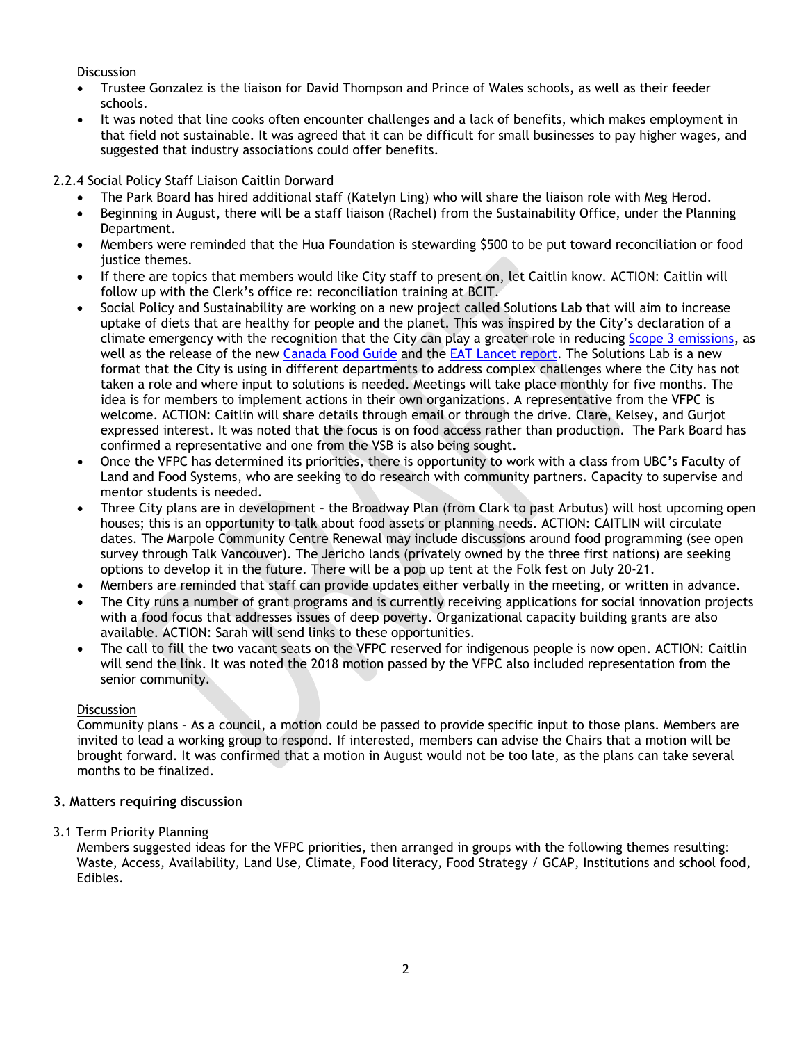**Discussion** 

- Trustee Gonzalez is the liaison for David Thompson and Prince of Wales schools, as well as their feeder schools.
- It was noted that line cooks often encounter challenges and a lack of benefits, which makes employment in that field not sustainable. It was agreed that it can be difficult for small businesses to pay higher wages, and suggested that industry associations could offer benefits.

2.2.4 Social Policy Staff Liaison Caitlin Dorward

- The Park Board has hired additional staff (Katelyn Ling) who will share the liaison role with Meg Herod.
- Beginning in August, there will be a staff liaison (Rachel) from the Sustainability Office, under the Planning Department.
- Members were reminded that the Hua Foundation is stewarding \$500 to be put toward reconciliation or food justice themes.
- If there are topics that members would like City staff to present on, let Caitlin know. ACTION: Caitlin will follow up with the Clerk's office re: reconciliation training at BCIT.
- Social Policy and Sustainability are working on a new project called Solutions Lab that will aim to increase uptake of diets that are healthy for people and the planet. This was inspired by the City's declaration of a climate emergency with the recognition that the City can play a greater role in reducing [Scope 3 emissions,](https://ghgprotocol.org/sites/default/files/standards_supporting/FAQ.pdf) as well as the release of the new [Canada Food Guide](https://food-guide.canada.ca/en/) and the EAT [Lancet report.](https://eatforum.org/eat-lancet-commission/) The Solutions Lab is a new format that the City is using in different departments to address complex challenges where the City has not taken a role and where input to solutions is needed. Meetings will take place monthly for five months. The idea is for members to implement actions in their own organizations. A representative from the VFPC is welcome. ACTION: Caitlin will share details through email or through the drive. Clare, Kelsey, and Gurjot expressed interest. It was noted that the focus is on food access rather than production. The Park Board has confirmed a representative and one from the VSB is also being sought.
- Once the VFPC has determined its priorities, there is opportunity to work with a class from UBC's Faculty of Land and Food Systems, who are seeking to do research with community partners. Capacity to supervise and mentor students is needed.
- Three City plans are in development the Broadway Plan (from Clark to past Arbutus) will host upcoming open houses; this is an opportunity to talk about food assets or planning needs. ACTION: CAITLIN will circulate dates. The Marpole Community Centre Renewal may include discussions around food programming (see open survey through Talk Vancouver). The Jericho lands (privately owned by the three first nations) are seeking options to develop it in the future. There will be a pop up tent at the Folk fest on July 20-21.
- Members are reminded that staff can provide updates either verbally in the meeting, or written in advance.
- The City runs a number of grant programs and is currently receiving applications for social innovation projects with a food focus that addresses issues of deep poverty. Organizational capacity building grants are also available. ACTION: Sarah will send links to these opportunities.
- The call to fill the two vacant seats on the VFPC reserved for indigenous people is now open. ACTION: Caitlin will send the link. It was noted the 2018 motion passed by the VFPC also included representation from the senior community.

# **Discussion**

Community plans – As a council, a motion could be passed to provide specific input to those plans. Members are invited to lead a working group to respond. If interested, members can advise the Chairs that a motion will be brought forward. It was confirmed that a motion in August would not be too late, as the plans can take several months to be finalized.

# **3. Matters requiring discussion**

## 3.1 Term Priority Planning

Members suggested ideas for the VFPC priorities, then arranged in groups with the following themes resulting: Waste, Access, Availability, Land Use, Climate, Food literacy, Food Strategy / GCAP, Institutions and school food, Edibles.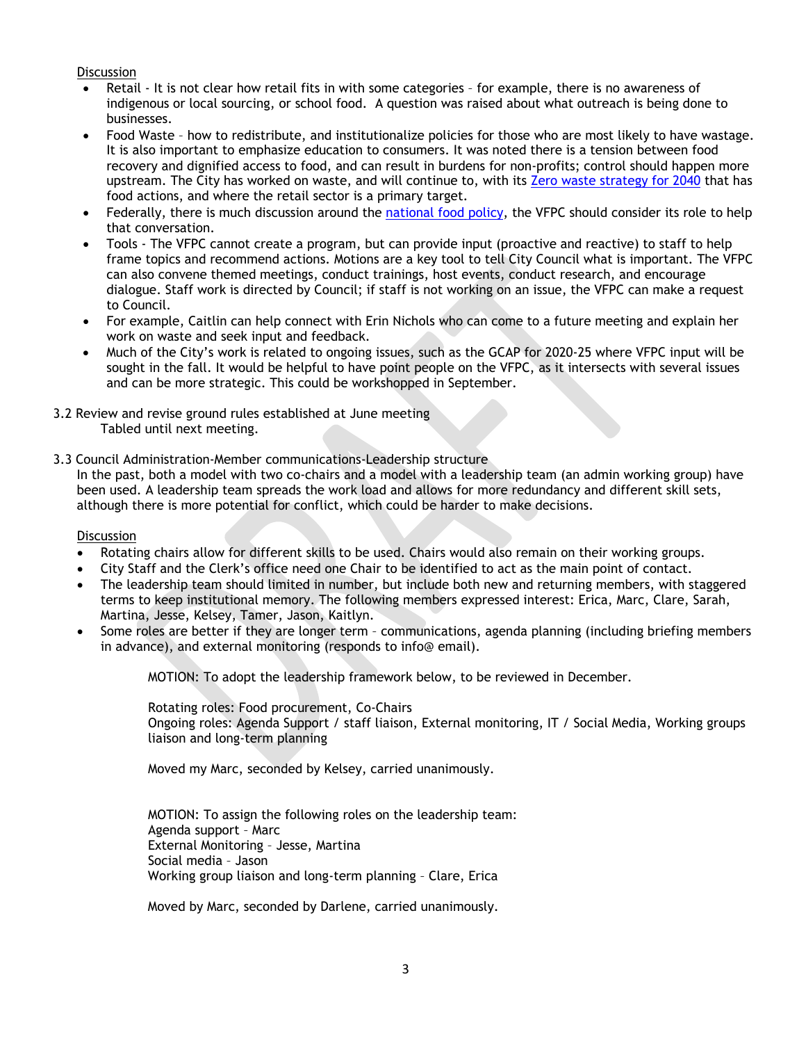**Discussion** 

- Retail It is not clear how retail fits in with some categories for example, there is no awareness of indigenous or local sourcing, or school food. A question was raised about what outreach is being done to businesses.
- Food Waste how to redistribute, and institutionalize policies for those who are most likely to have wastage. It is also important to emphasize education to consumers. It was noted there is a tension between food recovery and dignified access to food, and can result in burdens for non-profits; control should happen more upstream. The City has worked on waste, and will continue to, with its [Zero waste strategy for 2040](https://vancouver.ca/green-vancouver/zero-waste-vancouver.aspx) that has food actions, and where the retail sector is a primary target.
- Federally, there is much discussion around the [national food policy,](https://www.canada.ca/content/dam/aafc-aac/documents/20190614-en.pdf) the VFPC should consider its role to help that conversation.
- Tools The VFPC cannot create a program, but can provide input (proactive and reactive) to staff to help frame topics and recommend actions. Motions are a key tool to tell City Council what is important. The VFPC can also convene themed meetings, conduct trainings, host events, conduct research, and encourage dialogue. Staff work is directed by Council; if staff is not working on an issue, the VFPC can make a request to Council.
- For example, Caitlin can help connect with Erin Nichols who can come to a future meeting and explain her work on waste and seek input and feedback.
- Much of the City's work is related to ongoing issues, such as the GCAP for 2020-25 where VFPC input will be sought in the fall. It would be helpful to have point people on the VFPC, as it intersects with several issues and can be more strategic. This could be workshopped in September.
- 3.2 Review and revise ground rules established at June meeting Tabled until next meeting.
- 3.3 Council Administration-Member communications-Leadership structure

In the past, both a model with two co-chairs and a model with a leadership team (an admin working group) have been used. A leadership team spreads the work load and allows for more redundancy and different skill sets, although there is more potential for conflict, which could be harder to make decisions.

**Discussion** 

- Rotating chairs allow for different skills to be used. Chairs would also remain on their working groups.
- City Staff and the Clerk's office need one Chair to be identified to act as the main point of contact.
- The leadership team should limited in number, but include both new and returning members, with staggered terms to keep institutional memory. The following members expressed interest: Erica, Marc, Clare, Sarah, Martina, Jesse, Kelsey, Tamer, Jason, Kaitlyn.
- Some roles are better if they are longer term communications, agenda planning (including briefing members in advance), and external monitoring (responds to info@ email).

MOTION: To adopt the leadership framework below, to be reviewed in December.

Rotating roles: Food procurement, Co-Chairs Ongoing roles: Agenda Support / staff liaison, External monitoring, IT / Social Media, Working groups liaison and long-term planning

Moved my Marc, seconded by Kelsey, carried unanimously.

MOTION: To assign the following roles on the leadership team: Agenda support – Marc External Monitoring – Jesse, Martina Social media – Jason Working group liaison and long-term planning – Clare, Erica

Moved by Marc, seconded by Darlene, carried unanimously.